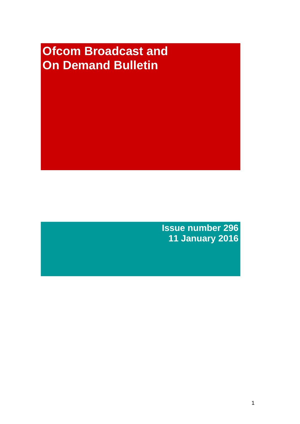# **Ofcom Broadcast and On Demand Bulletin**

**Issue number 296 11 January 2016**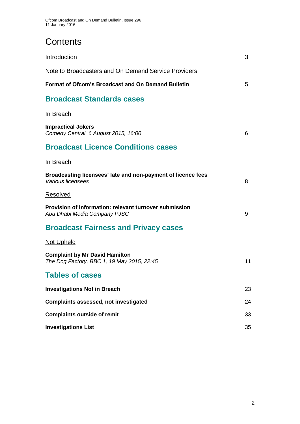# **Contents**

| Introduction                                                                           | 3  |
|----------------------------------------------------------------------------------------|----|
| <b>Note to Broadcasters and On Demand Service Providers</b>                            |    |
| <b>Format of Ofcom's Broadcast and On Demand Bulletin</b>                              | 5  |
| <b>Broadcast Standards cases</b>                                                       |    |
| In Breach                                                                              |    |
| <b>Impractical Jokers</b><br>Comedy Central, 6 August 2015, 16:00                      | 6  |
| <b>Broadcast Licence Conditions cases</b>                                              |    |
| In Breach                                                                              |    |
| Broadcasting licensees' late and non-payment of licence fees<br>Various licensees      | 8  |
| Resolved                                                                               |    |
| Provision of information: relevant turnover submission<br>Abu Dhabi Media Company PJSC | 9  |
| <b>Broadcast Fairness and Privacy cases</b>                                            |    |
| <b>Not Upheld</b>                                                                      |    |
| <b>Complaint by Mr David Hamilton</b><br>The Dog Factory, BBC 1, 19 May 2015, 22:45    | 11 |
| <b>Tables of cases</b>                                                                 |    |
| <b>Investigations Not in Breach</b>                                                    | 23 |
| <b>Complaints assessed, not investigated</b>                                           | 24 |
| <b>Complaints outside of remit</b>                                                     | 33 |
| <b>Investigations List</b>                                                             | 35 |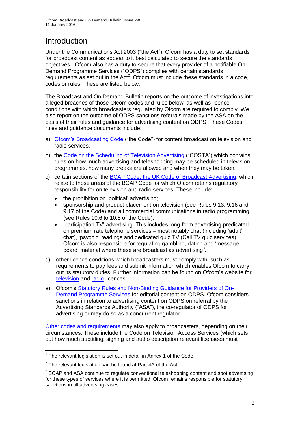# Introduction

Under the Communications Act 2003 ("the Act"), Ofcom has a duty to set standards for broadcast content as appear to it best calculated to secure the standards objectives<sup>1</sup>. Ofcom also has a duty to secure that every provider of a notifiable On Demand Programme Services ("ODPS") complies with certain standards requirements as set out in the Act<sup>2</sup>. Ofcom must include these standards in a code, codes or rules. These are listed below.

The Broadcast and On Demand Bulletin reports on the outcome of investigations into alleged breaches of those Ofcom codes and rules below, as well as licence conditions with which broadcasters regulated by Ofcom are required to comply. We also report on the outcome of ODPS sanctions referrals made by the ASA on the basis of their rules and guidance for advertising content on ODPS. These Codes, rules and guidance documents include:

- a) [Ofcom's Broadcasting Code](http://stakeholders.ofcom.org.uk/broadcasting/broadcast-codes/broadcast-code/) ("the Code") for content broadcast on television and radio services.
- b) the [Code on the Scheduling of Television Advertising](http://stakeholders.ofcom.org.uk/broadcasting/broadcast-codes/advert-code/) ("COSTA") which contains rules on how much advertising and teleshopping may be scheduled in television programmes, how many breaks are allowed and when they may be taken.
- c) certain sections of the [BCAP Code: the UK Code of Broadcast Advertising,](https://www.cap.org.uk/Advertising-Codes/Broadcast.aspx) which relate to those areas of the BCAP Code for which Ofcom retains regulatory responsibility for on television and radio services. These include:
	- the prohibition on 'political' advertising;
	- sponsorship and product placement on television (see Rules 9.13, 9.16 and 9.17 of the Code) and all commercial communications in radio programming (see Rules 10.6 to 10.8 of the Code);
	- 'participation TV' advertising. This includes long-form advertising predicated on premium rate telephone services – most notably chat (including 'adult' chat), 'psychic' readings and dedicated quiz TV (Call TV quiz services). Ofcom is also responsible for regulating gambling, dating and 'message board' material where these are broadcast as advertising<sup>3</sup>.
- d) other licence conditions which broadcasters must comply with, such as requirements to pay fees and submit information which enables Ofcom to carry out its statutory duties. Further information can be found on Ofcom's website for [television](http://licensing.ofcom.org.uk/tv-broadcast-licences/) and [radio](http://licensing.ofcom.org.uk/radio-broadcast-licensing/) licences.
- e) Ofcom's [Statutory Rules and Non-Binding Guidance for Providers of On-](http://stakeholders.ofcom.org.uk/binaries/broadcast/on-demand/rules-guidance/rules_and_guidance.pdf)[Demand Programme Services](http://stakeholders.ofcom.org.uk/binaries/broadcast/on-demand/rules-guidance/rules_and_guidance.pdf) for editorial content on ODPS. Ofcom considers sanctions in relation to advertising content on ODPS on referral by the Advertising Standards Authority ("ASA"), the co-regulator of ODPS for advertising or may do so as a concurrent regulator.

[Other codes and requirements](http://stakeholders.ofcom.org.uk/broadcasting/broadcast-codes/) may also apply to broadcasters, depending on their circumstances. These include the Code on Television Access Services (which sets out how much subtitling, signing and audio description relevant licensees must

<sup>1</sup>  $1$  The relevant legislation is set out in detail in Annex 1 of the Code.

 $2$  The relevant legislation can be found at Part 4A of the Act.

 $3$  BCAP and ASA continue to regulate conventional teleshopping content and spot advertising for these types of services where it is permitted. Ofcom remains responsible for statutory sanctions in all advertising cases.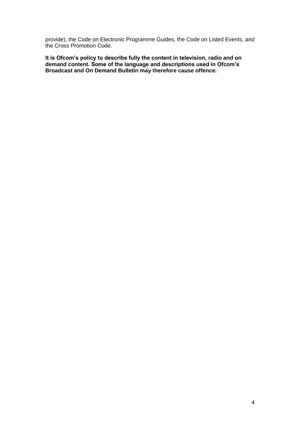provide), the Code on Electronic Programme Guides, the Code on Listed Events, and the Cross Promotion Code.

**It is Ofcom's policy to describe fully the content in television, radio and on demand content. Some of the language and descriptions used in Ofcom's Broadcast and On Demand Bulletin may therefore cause offence.**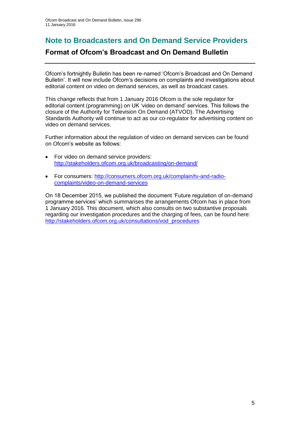### **Note to Broadcasters and On Demand Service Providers**

### **Format of Ofcom's Broadcast and On Demand Bulletin**

Ofcom's fortnightly Bulletin has been re-named 'Ofcom's Broadcast and On Demand Bulletin'. It will now include Ofcom's decisions on complaints and investigations about editorial content on video on demand services, as well as broadcast cases.

This change reflects that from 1 January 2016 Ofcom is the sole regulator for editorial content (programming) on UK 'video on demand' services. This follows the closure of the Authority for Television On Demand (ATVOD). The Advertising Standards Authority will continue to act as our co-regulator for advertising content on video on demand services.

Further information about the regulation of video on demand services can be found on Ofcom's website as follows:

- For video on demand service providers: <http://stakeholders.ofcom.org.uk/broadcasting/on-demand/>
- For consumers: [http://consumers.ofcom.org.uk/complain/tv-and-radio](http://consumers.ofcom.org.uk/complain/tv-and-radio-complaints/video-on-demand-services)[complaints/video-on-demand-services](http://consumers.ofcom.org.uk/complain/tv-and-radio-complaints/video-on-demand-services)

On 18 December 2015, we published the document 'Future regulation of on-demand programme services' which summarises the arrangements Ofcom has in place from 1 January 2016. This document, which also consults on two substantive proposals regarding our investigation procedures and the charging of fees, can be found here: http://stakeholders.ofcom.org.uk/consultations/vod\_procedures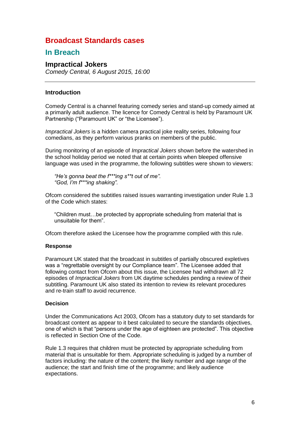### **Broadcast Standards cases**

### **In Breach**

### **Impractical Jokers**

*Comedy Central, 6 August 2015, 16:00*

### **Introduction**

Comedy Central is a channel featuring comedy series and stand-up comedy aimed at a primarily adult audience. The licence for Comedy Central is held by Paramount UK Partnership ("Paramount UK" or "the Licensee").

*Impractical Jokers* is a hidden camera practical joke reality series, following four comedians, as they perform various pranks on members of the public.

During monitoring of an episode of *Impractical Jokers* shown before the watershed in the school holiday period we noted that at certain points when bleeped offensive language was used in the programme, the following subtitles were shown to viewers:

*"He's gonna beat the f\*\*\*ing s\*\*t out of me". "God, I'm f\*\*\*ing shaking".*

Ofcom considered the subtitles raised issues warranting investigation under Rule 1.3 of the Code which states:

"Children must…be protected by appropriate scheduling from material that is unsuitable for them".

Ofcom therefore asked the Licensee how the programme complied with this rule.

#### **Response**

Paramount UK stated that the broadcast in subtitles of partially obscured expletives was a "regrettable oversight by our Compliance team". The Licensee added that following contact from Ofcom about this issue, the Licensee had withdrawn all 72 episodes of *Impractical Jokers* from UK daytime schedules pending a review of their subtitling. Paramount UK also stated its intention to review its relevant procedures and re-train staff to avoid recurrence.

#### **Decision**

Under the Communications Act 2003, Ofcom has a statutory duty to set standards for broadcast content as appear to it best calculated to secure the standards objectives, one of which is that "persons under the age of eighteen are protected". This objective is reflected in Section One of the Code.

Rule 1.3 requires that children must be protected by appropriate scheduling from material that is unsuitable for them. Appropriate scheduling is judged by a number of factors including: the nature of the content; the likely number and age range of the audience; the start and finish time of the programme; and likely audience expectations.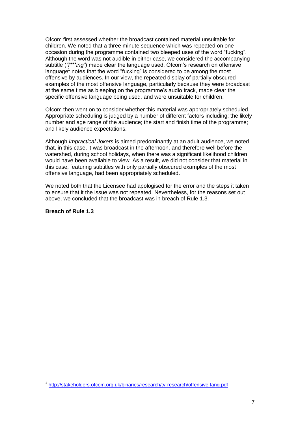Ofcom first assessed whether the broadcast contained material unsuitable for children. We noted that a three minute sequence which was repeated on one occasion during the programme contained two bleeped uses of the word "fucking". Although the word was not audible in either case, we considered the accompanying subtitle (*"f\*\*\*ing"*) made clear the language used. Ofcom's research on offensive language<sup>1</sup> notes that the word "fucking" is considered to be among the most offensive by audiences. In our view, the repeated display of partially obscured examples of the most offensive language, particularly because they were broadcast at the same time as bleeping on the programme's audio track, made clear the specific offensive language being used, and were unsuitable for children.

Ofcom then went on to consider whether this material was appropriately scheduled. Appropriate scheduling is judged by a number of different factors including: the likely number and age range of the audience; the start and finish time of the programme; and likely audience expectations.

Although *Impractical Jokers* is aimed predominantly at an adult audience, we noted that, in this case, it was broadcast in the afternoon, and therefore well before the watershed, during school holidays, when there was a significant likelihood children would have been available to view. As a result, we did not consider that material in this case, featuring subtitles with only partially obscured examples of the most offensive language, had been appropriately scheduled.

We noted both that the Licensee had apologised for the error and the steps it taken to ensure that it the issue was not repeated. Nevertheless, for the reasons set out above, we concluded that the broadcast was in breach of Rule 1.3.

**Breach of Rule 1.3**

1

<sup>&</sup>lt;sup>1</sup> <http://stakeholders.ofcom.org.uk/binaries/research/tv-research/offensive-lang.pdf>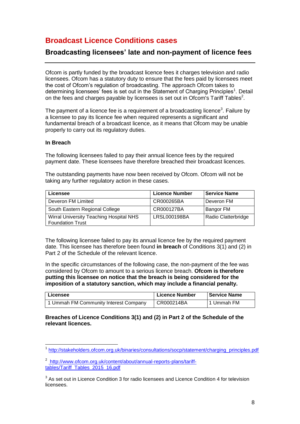### **Broadcast Licence Conditions cases**

### **Broadcasting licensees' late and non-payment of licence fees**

Ofcom is partly funded by the broadcast licence fees it charges television and radio licensees. Ofcom has a statutory duty to ensure that the fees paid by licensees meet the cost of Ofcom's regulation of broadcasting. The approach Ofcom takes to determining licensees' fees is set out in the Statement of Charging Principles<sup>1</sup>. Detail on the fees and charges payable by licensees is set out in Ofcom's Tariff Tables<sup>2</sup>.

The payment of a licence fee is a requirement of a broadcasting licence<sup>3</sup>. Failure by a licensee to pay its licence fee when required represents a significant and fundamental breach of a broadcast licence, as it means that Ofcom may be unable properly to carry out its regulatory duties.

#### **In Breach**

The following licensees failed to pay their annual licence fees by the required payment date. These licensees have therefore breached their broadcast licences.

The outstanding payments have now been received by Ofcom. Ofcom will not be taking any further regulatory action in these cases.

| Licensee                                                           | <b>Licence Number</b> | <b>Service Name</b> |
|--------------------------------------------------------------------|-----------------------|---------------------|
| Deveron FM Limited                                                 | CR000265BA            | Deveron FM          |
| South Eastern Regional College                                     | CR000127BA            | Bangor FM           |
| Wirral University Teaching Hospital NHS<br><b>Foundation Trust</b> | LRSL000198BA          | Radio Clatterbridge |

The following licensee failed to pay its annual licence fee by the required payment date. This licensee has therefore been found **in breach** of Conditions 3(1) and (2) in Part 2 of the Schedule of the relevant licence.

In the specific circumstances of the following case, the non-payment of the fee was considered by Ofcom to amount to a serious licence breach. **Ofcom is therefore putting this licensee on notice that the breach is being considered for the imposition of a statutory sanction, which may include a financial penalty.**

| Licensee                              | <b>Licence Number</b> | <b>Service Name</b> |
|---------------------------------------|-----------------------|---------------------|
| 1 Ummah FM Community Interest Company | CR000214BA            | 11 Ummah FM         |

#### **Breaches of Licence Conditions 3(1) and (2) in Part 2 of the Schedule of the relevant licences.**

 1 [http://stakeholders.ofcom.org.uk/binaries/consultations/socp/statement/charging\\_principles.pdf](http://stakeholders.ofcom.org.uk/binaries/consultations/socp/statement/charging_principles.pdf)

<sup>&</sup>lt;sup>2</sup> [http://www.ofcom.org.uk/content/about/annual-reports-plans/tariff](http://www.ofcom.org.uk/content/about/annual-reports-plans/tariff-tables/Tariff_Tables_2015_16.pdf)[tables/Tariff\\_Tables\\_2015\\_16.pdf](http://www.ofcom.org.uk/content/about/annual-reports-plans/tariff-tables/Tariff_Tables_2015_16.pdf)

 $3$  As set out in Licence Condition 3 for radio licensees and Licence Condition 4 for television licensees.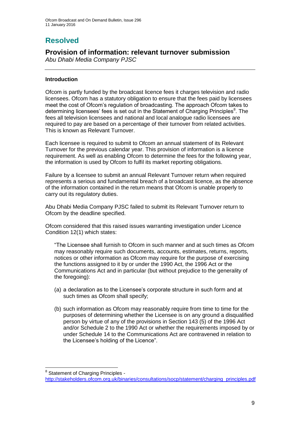# **Resolved**

### **Provision of information: relevant turnover submission**

*Abu Dhabi Media Company PJSC*

### **Introduction**

Ofcom is partly funded by the broadcast licence fees it charges television and radio licensees. Ofcom has a statutory obligation to ensure that the fees paid by licensees meet the cost of Ofcom's regulation of broadcasting. The approach Ofcom takes to determining licensees' fees is set out in the Statement of Charging Principles<sup>8</sup>. The fees all television licensees and national and local analogue radio licensees are required to pay are based on a percentage of their turnover from related activities. This is known as Relevant Turnover.

Each licensee is required to submit to Ofcom an annual statement of its Relevant Turnover for the previous calendar year. This provision of information is a licence requirement. As well as enabling Ofcom to determine the fees for the following year, the information is used by Ofcom to fulfil its market reporting obligations.

Failure by a licensee to submit an annual Relevant Turnover return when required represents a serious and fundamental breach of a broadcast licence, as the absence of the information contained in the return means that Ofcom is unable properly to carry out its regulatory duties.

Abu Dhabi Media Company PJSC failed to submit its Relevant Turnover return to Ofcom by the deadline specified.

Ofcom considered that this raised issues warranting investigation under Licence Condition 12(1) which states:

"The Licensee shall furnish to Ofcom in such manner and at such times as Ofcom may reasonably require such documents, accounts, estimates, returns, reports, notices or other information as Ofcom may require for the purpose of exercising the functions assigned to it by or under the 1990 Act, the 1996 Act or the Communications Act and in particular (but without prejudice to the generality of the foregoing):

- (a) a declaration as to the Licensee's corporate structure in such form and at such times as Ofcom shall specify;
- (b) such information as Ofcom may reasonably require from time to time for the purposes of determining whether the Licensee is on any ground a disqualified person by virtue of any of the provisions in Section 143 (5) of the 1996 Act and/or Schedule 2 to the 1990 Act or whether the requirements imposed by or under Schedule 14 to the Communications Act are contravened in relation to the Licensee's holding of the Licence".

<sup>1</sup> <sup>8</sup> Statement of Charging Principles -

[http://stakeholders.ofcom.org.uk/binaries/consultations/socp/statement/charging\\_principles.pdf](http://stakeholders.ofcom.org.uk/binaries/consultations/socp/statement/charging_principles.pdf)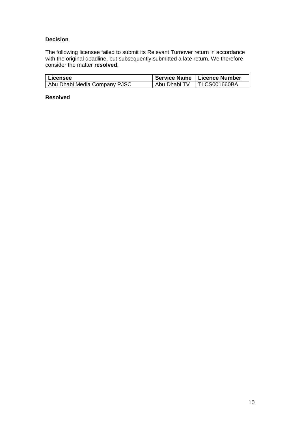### **Decision**

The following licensee failed to submit its Relevant Turnover return in accordance with the original deadline, but subsequently submitted a late return. We therefore consider the matter **resolved**.

| l Licensee                   |              | ∣ Service Name   Licence Number |
|------------------------------|--------------|---------------------------------|
| Abu Dhabi Media Company PJSC | Abu Dhabi TV | TLCS001660BA                    |

### **Resolved**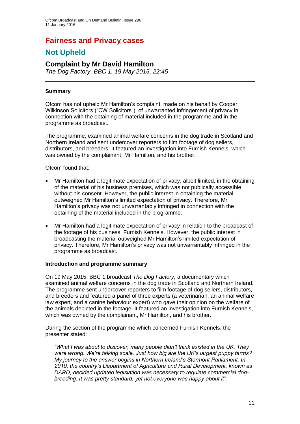### **Fairness and Privacy cases**

### **Not Upheld**

### **Complaint by Mr David Hamilton**

*The Dog Factory, BBC 1, 19 May 2015, 22:45*

### **Summary**

Ofcom has not upheld Mr Hamilton's complaint, made on his behalf by Cooper Wilkinson Solicitors ("CW Solicitors"), of unwarranted infringement of privacy in connection with the obtaining of material included in the programme and in the programme as broadcast.

The programme, examined animal welfare concerns in the dog trade in Scotland and Northern Ireland and sent undercover reporters to film footage of dog sellers, distributors, and breeders. It featured an investigation into Furnish Kennels, which was owned by the complainant, Mr Hamilton, and his brother.

#### Ofcom found that:

- Mr Hamilton had a legitimate expectation of privacy, albeit limited, in the obtaining of the material of his business premises, which was not publically accessible, without his consent. However, the public interest in obtaining the material outweighed Mr Hamilton's limited expectation of privacy. Therefore, Mr Hamilton's privacy was not unwarrantably infringed in connection with the obtaining of the material included in the programme.
- Mr Hamilton had a legitimate expectation of privacy in relation to the broadcast of the footage of his business, Furnish Kennels. However, the public interest in broadcasting the material outweighed Mr Hamilton's limited expectation of privacy. Therefore, Mr Hamilton's privacy was not unwarrantably infringed in the programme as broadcast.

#### **Introduction and programme summary**

On 19 May 2015, BBC 1 broadcast *The Dog Factory,* a documentary which examined animal welfare concerns in the dog trade in Scotland and Northern Ireland. The programme sent undercover reporters to film footage of dog sellers, distributors, and breeders and featured a panel of three experts (a veterinarian, an animal welfare law expert, and a canine behaviour expert) who gave their opinion on the welfare of the animals depicted in the footage. It featured an investigation into Furnish Kennels, which was owned by the complainant, Mr Hamilton, and his brother.

During the section of the programme which concerned Furnish Kennels, the presenter stated:

*"What I was about to discover, many people didn't think existed in the UK. They were wrong. We're talking scale. Just how big are the UK's largest puppy farms? My journey to the answer begins in Northern Ireland's Stormont Parliament. In 2010, the country's Department of Agriculture and Rural Development, known as DARD, decided updated legislation was necessary to regulate commercial dogbreeding. It was pretty standard, yet not everyone was happy about it".*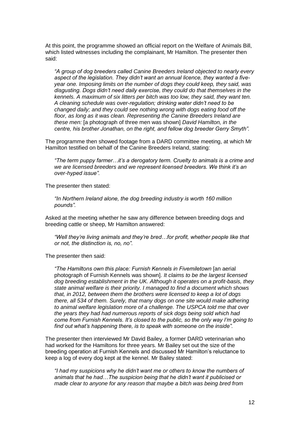At this point, the programme showed an official report on the Welfare of Animals Bill, which listed witnesses including the complainant, Mr Hamilton. The presenter then said:

*"A group of dog breeders called Canine Breeders Ireland objected to nearly every aspect of the legislation. They didn't want an annual licence, they wanted a fiveyear one. Imposing limits on the number of dogs they could keep, they said, was disgusting. Dogs didn't need daily exercise, they could do that themselves in the kennels. A maximum of six litters per bitch was too low, they said, they want ten. A cleaning schedule was over-regulation; drinking water didn't need to be changed daily; and they could see nothing wrong with dogs eating food off the floor, as long as it was clean. Representing the Canine Breeders Ireland are these men:* [a photograph of three men was shown] *David Hamilton, in the centre, his brother Jonathan, on the right, and fellow dog breeder Gerry Smyth".*

The programme then showed footage from a DARD committee meeting, at which Mr Hamilton testified on behalf of the Canine Breeders Ireland, stating:

*"The term puppy farmer…it's a derogatory term. Cruelty to animals is a crime and we are licensed breeders and we represent licensed breeders. We think it's an over-hyped issue".*

The presenter then stated:

*"In Northern Ireland alone, the dog breeding industry is worth 160 million pounds".*

Asked at the meeting whether he saw any difference between breeding dogs and breeding cattle or sheep, Mr Hamilton answered:

*"Well they're living animals and they're bred…for profit, whether people like that or not, the distinction is, no, no".*

The presenter then said:

*"The Hamiltons own this place: Furnish Kennels in Fivemiletown* [an aerial photograph of Furnish Kennels was shown]. *It claims to be the largest licensed dog breeding establishment in the UK. Although it operates on a profit-basis, they state animal welfare is their priority. I managed to find a document which shows that, in 2012, between them the brothers were licensed to keep a lot of dogs there, all 534 of them. Surely, that many dogs on one site would make adhering to animal welfare legislation more of a challenge. The USPCA told me that over the years they had had numerous reports of sick dogs being sold which had come from Furnish Kennels. It's closed to the public, so the only way I'm going to find out what's happening there, is to speak with someone on the inside".*

The presenter then interviewed Mr David Bailey, a former DARD veterinarian who had worked for the Hamiltons for three years. Mr Bailey set out the size of the breeding operation at Furnish Kennels and discussed Mr Hamilton's reluctance to keep a log of every dog kept at the kennel. Mr Bailey stated:

*"I had my suspicions why he didn't want me or others to know the numbers of animals that he had…The suspicion being that he didn't want it publicised or made clear to anyone for any reason that maybe a bitch was being bred from*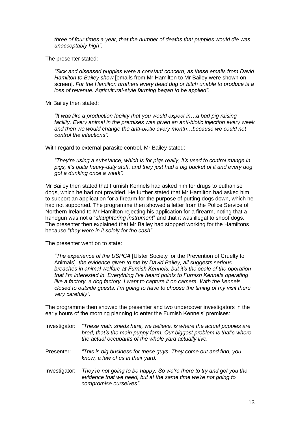*three of four times a year, that the number of deaths that puppies would die was unacceptably high".*

The presenter stated:

*"Sick and diseased puppies were a constant concern, as these emails from David Hamilton to Bailey show* [emails from Mr Hamilton to Mr Bailey were shown on screen]. *For the Hamilton brothers every dead dog or bitch unable to produce is a loss of revenue. Agricultural-style farming began to be applied".*

Mr Bailey then stated:

*"It was like a production facility that you would expect in…a bad pig raising facility. Every animal in the premises was given an anti-biotic injection every week and then we would change the anti-biotic every month…because we could not control the infections".*

With regard to external parasite control, Mr Bailey stated:

*"They're using a substance, which is for pigs really, it's used to control mange in pigs, it's quite heavy-duty stuff, and they just had a big bucket of it and every dog got a dunking once a week".*

Mr Bailey then stated that Furnish Kennels had asked him for drugs to euthanise dogs, which he had not provided. He further stated that Mr Hamilton had asked him to support an application for a firearm for the purpose of putting dogs down, which he had not supported. The programme then showed a letter from the Police Service of Northern Ireland to Mr Hamilton rejecting his application for a firearm, noting that a handgun was not a "*slaughtering instrument*" and that it was illegal to shoot dogs. The presenter then explained that Mr Bailey had stopped working for the Hamiltons because "*they were in it solely for the cash"*.

The presenter went on to state:

*"The experience of the USPCA* [Ulster Society for the Prevention of Cruelty to Animals]*, the evidence given to me by David Bailey, all suggests serious breaches in animal welfare at Furnish Kennels, but it's the scale of the operation that I'm interested in. Everything I've heard points to Furnish Kennels operating like a factory, a dog factory. I want to capture it on camera. With the kennels closed to outside guests, I'm going to have to choose the timing of my visit there very carefully".*

The programme then showed the presenter and two undercover investigators in the early hours of the morning planning to enter the Furnish Kennels' premises:

- Investigator: *"These main sheds here, we believe, is where the actual puppies are bred, that's the main puppy farm. Our biggest problem is that's where the actual occupants of the whole yard actually live.*
- Presenter: *"This is big business for these guys. They come out and find, you know, a few of us in their yard.*
- Investigator: *They're not going to be happy. So we're there to try and get you the evidence that we need, but at the same time we're not going to compromise ourselves".*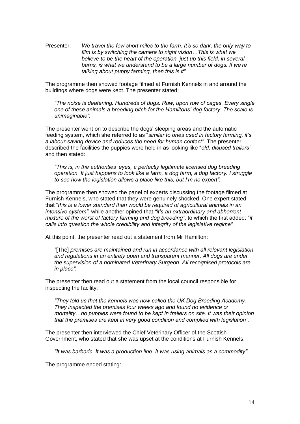Presenter: *We travel the few short miles to the farm. It's so dark, the only way to film is by switching the camera to night vision…This is what we believe to be the heart of the operation, just up this field, in several barns, is what we understand to be a large number of dogs. If we're talking about puppy farming, then this is it".*

The programme then showed footage filmed at Furnish Kennels in and around the buildings where dogs were kept. The presenter stated:

*"The noise is deafening. Hundreds of dogs. Row, upon row of cages. Every single one of these animals a breeding bitch for the Hamiltons' dog factory. The scale is unimaginable".*

The presenter went on to describe the dogs' sleeping areas and the automatic feeding system, which she referred to as "*similar to ones used in factory farming, it's a labour-saving device and reduces the need for human contact".* The presenter described the facilities the puppies were held in as looking like "*old, disused trailers"* and then stated:

*"This is, in the authorities' eyes, a perfectly legitimate licensed dog breeding operation. It just happens to look like a farm, a dog farm, a dog factory. I struggle to see how the legislation allows a place like this, but I'm no expert".*

The programme then showed the panel of experts discussing the footage filmed at Furnish Kennels, who stated that they were genuinely shocked. One expert stated that "*this is a lower standard than would be required of agricultural animals in an intensive system"*, while another opined that *"it's an extraordinary and abhorrent mixture of the worst of factory farming and dog breeding"*, to which the first added: "*it calls into question the whole credibility and integrity of the legislative regime".*

At this point, the presenter read out a statement from Mr Hamilton:

*"*[The] *premises are maintained and run in accordance with all relevant legislation and regulations in an entirely open and transparent manner. All dogs are under the supervision of a nominated Veterinary Surgeon. All recognised protocols are in place".*

The presenter then read out a statement from the local council responsible for inspecting the facility:

*"They told us that the kennels was now called the UK Dog Breeding Academy. They inspected the premises four weeks ago and found no evidence or mortality…no puppies were found to be kept in trailers on site. It was their opinion that the premises are kept in very good condition and complied with legislation".*

The presenter then interviewed the Chief Veterinary Officer of the Scottish Government, who stated that she was upset at the conditions at Furnish Kennels:

*"It was barbaric. It was a production line. It was using animals as a commodity".*

The programme ended stating: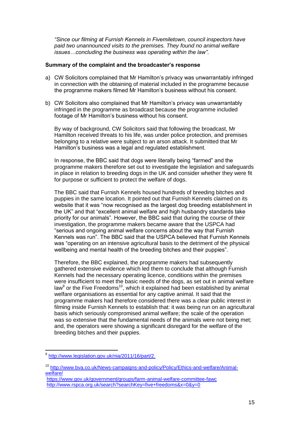*"Since our filming at Furnish Kennels in Fivemiletown, council inspectors have paid two unannounced visits to the premises. They found no animal welfare issues…concluding the business was operating within the law"*.

#### **Summary of the complaint and the broadcaster's response**

- a) CW Solicitors complained that Mr Hamilton's privacy was unwarrantably infringed in connection with the obtaining of material included in the programme because the programme makers filmed Mr Hamilton's business without his consent.
- b) CW Solicitors also complained that Mr Hamilton's privacy was unwarrantably infringed in the programme as broadcast because the programme included footage of Mr Hamilton's business without his consent.

By way of background, CW Solicitors said that following the broadcast, Mr Hamilton received threats to his life, was under police protection, and premises belonging to a relative were subject to an arson attack. It submitted that Mr Hamilton's business was a legal and regulated establishment.

In response, the BBC said that dogs were literally being "farmed" and the programme makers therefore set out to investigate the legislation and safeguards in place in relation to breeding dogs in the UK and consider whether they were fit for purpose or sufficient to protect the welfare of dogs.

The BBC said that Furnish Kennels housed hundreds of breeding bitches and puppies in the same location. It pointed out that Furnish Kennels claimed on its website that it was "now recognised as the largest dog breeding establishment in the UK" and that "excellent animal welfare and high husbandry standards take priority for our animals". However, the BBC said that during the course of their investigation, the programme makers became aware that the USPCA had "serious and ongoing animal welfare concerns about the way that Furnish Kennels was run". The BBC said that the USPCA believed that Furnish Kennels was "operating on an intensive agricultural basis to the detriment of the physical wellbeing and mental health of the breeding bitches and their puppies".

Therefore, the BBC explained, the programme makers had subsequently gathered extensive evidence which led them to conclude that although Furnish Kennels had the necessary operating licence, conditions within the premises were insufficient to meet the basic needs of the dogs, as set out in animal welfare law<sup>9</sup> or the Five Freedoms<sup>10</sup>, which it explained had been established by animal welfare organisations as essential for any captive animal. It said that the programme makers had therefore considered there was a clear public interest in filming inside Furnish Kennels to establish that: it was being run on an agricultural basis which seriously compromised animal welfare; the scale of the operation was so extensive that the fundamental needs of the animals were not being met; and, the operators were showing a significant disregard for the welfare of the breeding bitches and their puppies.

1

<sup>&</sup>lt;sup>9</sup> [http://www.legislation.gov.uk/nia/2011/16/part/2.](http://www.legislation.gov.uk/nia/2011/16/part/2)

<sup>10</sup> [http://www.bva.co.uk/News-campaigns-and-policy/Policy/Ethics-and-welfare/Animal](http://www.bva.co.uk/News-campaigns-and-policy/Policy/Ethics-and-welfare/Animal-welfare/)[welfare/](http://www.bva.co.uk/News-campaigns-and-policy/Policy/Ethics-and-welfare/Animal-welfare/)

<https://www.gov.uk/government/groups/farm-animal-welfare-committee-fawc> <http://www.rspca.org.uk/search?searchKey=five+freedoms&x=0&y=0>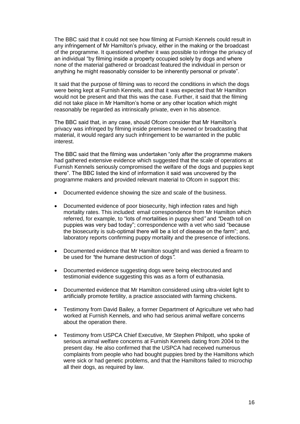The BBC said that it could not see how filming at Furnish Kennels could result in any infringement of Mr Hamilton's privacy, either in the making or the broadcast of the programme. It questioned whether it was possible to infringe the privacy of an individual "by filming inside a property occupied solely by dogs and where none of the material gathered or broadcast featured the individual in person or anything he might reasonably consider to be inherently personal or private".

It said that the purpose of filming was to record the conditions in which the dogs were being kept at Furnish Kennels, and that it was expected that Mr Hamilton would not be present and that this was the case. Further, it said that the filming did not take place in Mr Hamilton's home or any other location which might reasonably be regarded as intrinsically private, even in his absence.

The BBC said that, in any case, should Ofcom consider that Mr Hamilton's privacy was infringed by filming inside premises he owned or broadcasting that material, it would regard any such infringement to be warranted in the public interest.

The BBC said that the filming was undertaken "only after the programme makers had gathered extensive evidence which suggested that the scale of operations at Furnish Kennels seriously compromised the welfare of the dogs and puppies kept there". The BBC listed the kind of information it said was uncovered by the programme makers and provided relevant material to Ofcom in support this:

- Documented evidence showing the size and scale of the business.
- Documented evidence of poor biosecurity, high infection rates and high mortality rates. This included: email correspondence from Mr Hamilton which referred, for example, to "lots of mortalities in puppy shed*"* and *"*Death toll on puppies was very bad today"; correspondence with a vet who said "because the biosecurity is sub-optimal there will be a lot of disease on the farm"; and, laboratory reports confirming puppy mortality and the presence of infections.
- Documented evidence that Mr Hamilton sought and was denied a firearm to be used for *"*the humane destruction of dogs*"*.
- Documented evidence suggesting dogs were being electrocuted and testimonial evidence suggesting this was as a form of euthanasia.
- Documented evidence that Mr Hamilton considered using ultra-violet light to artificially promote fertility, a practice associated with farming chickens.
- Testimony from David Bailey, a former Department of Agriculture vet who had worked at Furnish Kennels, and who had serious animal welfare concerns about the operation there.
- Testimony from USPCA Chief Executive, Mr Stephen Philpott, who spoke of serious animal welfare concerns at Furnish Kennels dating from 2004 to the present day. He also confirmed that the USPCA had received numerous complaints from people who had bought puppies bred by the Hamiltons which were sick or had genetic problems, and that the Hamiltons failed to microchip all their dogs, as required by law.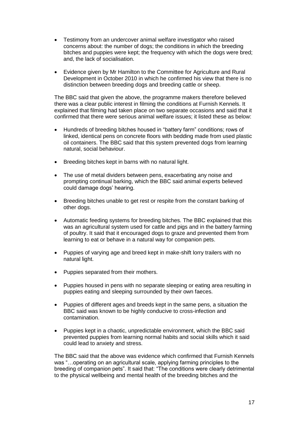- Testimony from an undercover animal welfare investigator who raised concerns about: the number of dogs; the conditions in which the breeding bitches and puppies were kept; the frequency with which the dogs were bred; and, the lack of socialisation.
- Evidence given by Mr Hamilton to the Committee for Agriculture and Rural Development in October 2010 in which he confirmed his view that there is no distinction between breeding dogs and breeding cattle or sheep.

The BBC said that given the above, the programme makers therefore believed there was a clear public interest in filming the conditions at Furnish Kennels. It explained that filming had taken place on two separate occasions and said that it confirmed that there were serious animal welfare issues; it listed these as below:

- Hundreds of breeding bitches housed in "battery farm" conditions; rows of linked, identical pens on concrete floors with bedding made from used plastic oil containers. The BBC said that this system prevented dogs from learning natural, social behaviour.
- Breeding bitches kept in barns with no natural light.
- The use of metal dividers between pens, exacerbating any noise and prompting continual barking, which the BBC said animal experts believed could damage dogs' hearing.
- Breeding bitches unable to get rest or respite from the constant barking of other dogs.
- Automatic feeding systems for breeding bitches. The BBC explained that this was an agricultural system used for cattle and pigs and in the battery farming of poultry. It said that it encouraged dogs to graze and prevented them from learning to eat or behave in a natural way for companion pets.
- Puppies of varying age and breed kept in make-shift lorry trailers with no natural light.
- Puppies separated from their mothers.
- Puppies housed in pens with no separate sleeping or eating area resulting in puppies eating and sleeping surrounded by their own faeces.
- Puppies of different ages and breeds kept in the same pens, a situation the BBC said was known to be highly conducive to cross-infection and contamination.
- Puppies kept in a chaotic, unpredictable environment, which the BBC said prevented puppies from learning normal habits and social skills which it said could lead to anxiety and stress.

The BBC said that the above was evidence which confirmed that Furnish Kennels was "…operating on an agricultural scale, applying farming principles to the breeding of companion pets". It said that: "The conditions were clearly detrimental to the physical wellbeing and mental health of the breeding bitches and the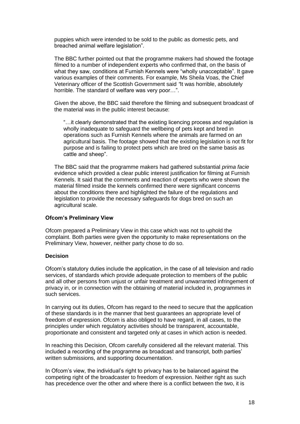puppies which were intended to be sold to the public as domestic pets, and breached animal welfare legislation".

The BBC further pointed out that the programme makers had showed the footage filmed to a number of independent experts who confirmed that, on the basis of what they saw, conditions at Furnish Kennels were "wholly unacceptable". It gave various examples of their comments. For example, Ms Sheila Voas, the Chief Veterinary officer of the Scottish Government said *"*It was horrible, absolutely horrible. The standard of welfare was very poor…".

Given the above, the BBC said therefore the filming and subsequent broadcast of the material was in the public interest because:

"…it clearly demonstrated that the existing licencing process and regulation is wholly inadequate to safeguard the wellbeing of pets kept and bred in operations such as Furnish Kennels where the animals are farmed on an agricultural basis. The footage showed that the existing legislation is not fit for purpose and is failing to protect pets which are bred on the same basis as cattle and sheep".

The BBC said that the programme makers had gathered substantial *prima facie* evidence which provided a clear public interest justification for filming at Furnish Kennels. It said that the comments and reaction of experts who were shown the material filmed inside the kennels confirmed there were significant concerns about the conditions there and highlighted the failure of the regulations and legislation to provide the necessary safeguards for dogs bred on such an agricultural scale.

#### **Ofcom's Preliminary View**

Ofcom prepared a Preliminary View in this case which was not to uphold the complaint. Both parties were given the opportunity to make representations on the Preliminary View, however, neither party chose to do so.

#### **Decision**

Ofcom's statutory duties include the application, in the case of all television and radio services, of standards which provide adequate protection to members of the public and all other persons from unjust or unfair treatment and unwarranted infringement of privacy in, or in connection with the obtaining of material included in, programmes in such services.

In carrying out its duties, Ofcom has regard to the need to secure that the application of these standards is in the manner that best guarantees an appropriate level of freedom of expression. Ofcom is also obliged to have regard, in all cases, to the principles under which regulatory activities should be transparent, accountable, proportionate and consistent and targeted only at cases in which action is needed.

In reaching this Decision, Ofcom carefully considered all the relevant material. This included a recording of the programme as broadcast and transcript, both parties' written submissions, and supporting documentation.

In Ofcom's view, the individual's right to privacy has to be balanced against the competing right of the broadcaster to freedom of expression. Neither right as such has precedence over the other and where there is a conflict between the two, it is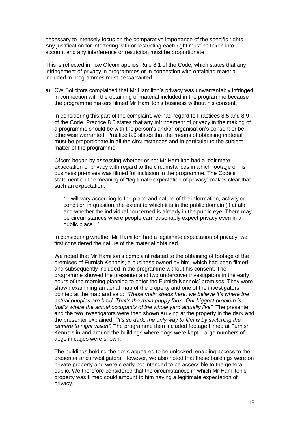necessary to intensely focus on the comparative importance of the specific rights. Any justification for interfering with or restricting each right must be taken into account and any interference or restriction must be proportionate.

This is reflected in how Ofcom applies Rule 8.1 of the Code, which states that any infringement of privacy in programmes or in connection with obtaining material included in programmes must be warranted.

a) CW Solicitors complained that Mr Hamilton's privacy was unwarrantably infringed in connection with the obtaining of material included in the programme because the programme makers filmed Mr Hamilton's business without his consent.

In considering this part of the complaint, we had regard to Practices 8.5 and 8.9 of the Code. Practice 8.5 states that any infringement of privacy in the making of a programme should be with the person's and/or organisation's consent or be otherwise warranted. Practice 8.9 states that the means of obtaining material must be proportionate in all the circumstances and in particular to the subject matter of the programme.

Ofcom began by assessing whether or not Mr Hamilton had a legitimate expectation of privacy with regard to the circumstances in which footage of his business premises was filmed for inclusion in the programme. The Code's statement on the meaning of "legitimate expectation of privacy" makes clear that such an expectation:

"…will vary according to the place and nature of the information, activity or condition in question, the extent to which it is in the public domain (if at all) and whether the individual concerned is already in the public eye. There may be circumstances where people can reasonably expect privacy even in a public place...".

In considering whether Mr Hamilton had a legitimate expectation of privacy, we first considered the nature of the material obtained.

We noted that Mr Hamilton's complaint related to the obtaining of footage of the premises of Furnish Kennels, a business owned by him, which had been filmed and subsequently included in the programme without his consent. The programme showed the presenter and two undercover investigators in the early hours of the morning planning to enter the Furnish Kennels' premises. They were shown examining an aerial map of the property and one of the investigators pointed at the map and said: *"These main sheds here, we believe it's where the actual puppies are bred. That's the main puppy farm. Our biggest problem is that's where the actual occupants of the whole yard actually live"*. The presenter and the two investigators were then shown arriving at the property in the dark and the presenter explained: *"It's so dark, the only way to film is by switching the camera to night vision".* The programme then included footage filmed at Furnish Kennels in and around the buildings where dogs were kept. Large numbers of dogs in cages were shown.

The buildings holding the dogs appeared to be unlocked, enabling access to the presenter and investigators. However, we also noted that these buildings were on private property and were clearly not intended to be accessible to the general public. We therefore considered that the circumstances in which Mr Hamilton's property was filmed could amount to him having a legitimate expectation of privacy.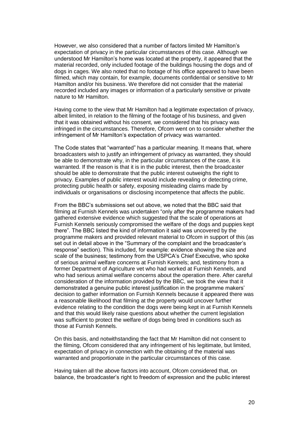However, we also considered that a number of factors limited Mr Hamilton's expectation of privacy in the particular circumstances of this case. Although we understood Mr Hamilton's home was located at the property, it appeared that the material recorded, only included footage of the buildings housing the dogs and of dogs in cages. We also noted that no footage of his office appeared to have been filmed, which may contain, for example, documents confidential or sensitive to Mr Hamilton and/or his business. We therefore did not consider that the material recorded included any images or information of a particularly sensitive or private nature to Mr Hamilton.

Having come to the view that Mr Hamilton had a legitimate expectation of privacy, albeit limited, in relation to the filming of the footage of his business, and given that it was obtained without his consent, we considered that his privacy was infringed in the circumstances. Therefore, Ofcom went on to consider whether the infringement of Mr Hamilton's expectation of privacy was warranted.

The Code states that "warranted" has a particular meaning. It means that, where broadcasters wish to justify an infringement of privacy as warranted, they should be able to demonstrate why, in the particular circumstances of the case, it is warranted. If the reason is that it is in the public interest, then the broadcaster should be able to demonstrate that the public interest outweighs the right to privacy. Examples of public interest would include revealing or detecting crime, protecting public health or safety, exposing misleading claims made by individuals or organisations or disclosing incompetence that affects the public.

From the BBC's submissions set out above, we noted that the BBC said that filming at Furnish Kennels was undertaken "only after the programme makers had gathered extensive evidence which suggested that the scale of operations at Furnish Kennels seriously compromised the welfare of the dogs and puppies kept there". The BBC listed the kind of information it said was uncovered by the programme makers and provided relevant material to Ofcom in support of this (as set out in detail above in the "Summary of the complaint and the broadcaster's response" section). This included, for example: evidence showing the size and scale of the business; testimony from the USPCA's Chief Executive, who spoke of serious animal welfare concerns at Furnish Kennels; and, testimony from a former Department of Agriculture vet who had worked at Furnish Kennels, and who had serious animal welfare concerns about the operation there. After careful consideration of the information provided by the BBC, we took the view that it demonstrated a genuine public interest justification in the programme makers' decision to gather information on Furnish Kennels because it appeared there was a reasonable likelihood that filming at the property would uncover further evidence relating to the condition the dogs were being kept in at Furnish Kennels and that this would likely raise questions about whether the current legislation was sufficient to protect the welfare of dogs being bred in conditions such as those at Furnish Kennels.

On this basis, and notwithstanding the fact that Mr Hamilton did not consent to the filming, Ofcom considered that any infringement of his legitimate, but limited, expectation of privacy in connection with the obtaining of the material was warranted and proportionate in the particular circumstances of this case.

Having taken all the above factors into account, Ofcom considered that, on balance, the broadcaster's right to freedom of expression and the public interest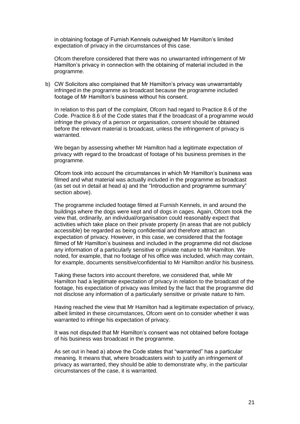in obtaining footage of Furnish Kennels outweighed Mr Hamilton's limited expectation of privacy in the circumstances of this case.

Ofcom therefore considered that there was no unwarranted infringement of Mr Hamilton's privacy in connection with the obtaining of material included in the programme.

b) CW Solicitors also complained that Mr Hamilton's privacy was unwarrantably infringed in the programme as broadcast because the programme included footage of Mr Hamilton's business without his consent.

In relation to this part of the complaint, Ofcom had regard to Practice 8.6 of the Code. Practice 8.6 of the Code states that if the broadcast of a programme would infringe the privacy of a person or organisation, consent should be obtained before the relevant material is broadcast, unless the infringement of privacy is warranted.

We began by assessing whether Mr Hamilton had a legitimate expectation of privacy with regard to the broadcast of footage of his business premises in the programme.

Ofcom took into account the circumstances in which Mr Hamilton's business was filmed and what material was actually included in the programme as broadcast (as set out in detail at head a) and the "Introduction and programme summary" section above).

The programme included footage filmed at Furnish Kennels, in and around the buildings where the dogs were kept and of dogs in cages. Again, Ofcom took the view that, ordinarily, an individual/organisation could reasonably expect that activities which take place on their private property (in areas that are not publicly accessible) be regarded as being confidential and therefore attract an expectation of privacy. However, in this case, we considered that the footage filmed of Mr Hamilton's business and included in the programme did not disclose any information of a particularly sensitive or private nature to Mr Hamilton. We noted, for example, that no footage of his office was included, which may contain, for example, documents sensitive/confidential to Mr Hamilton and/or his business.

Taking these factors into account therefore, we considered that, while Mr Hamilton had a legitimate expectation of privacy in relation to the broadcast of the footage, his expectation of privacy was limited by the fact that the programme did not disclose any information of a particularly sensitive or private nature to him.

Having reached the view that Mr Hamilton had a legitimate expectation of privacy, albeit limited in these circumstances, Ofcom went on to consider whether it was warranted to infringe his expectation of privacy.

It was not disputed that Mr Hamilton's consent was not obtained before footage of his business was broadcast in the programme.

As set out in head a) above the Code states that "warranted" has a particular meaning. It means that, where broadcasters wish to justify an infringement of privacy as warranted, they should be able to demonstrate why, in the particular circumstances of the case, it is warranted.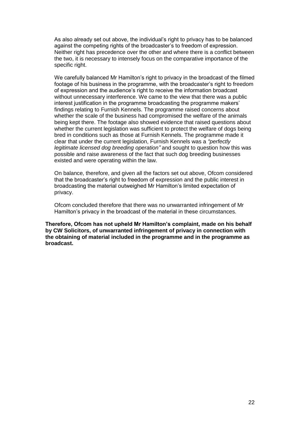As also already set out above, the individual's right to privacy has to be balanced against the competing rights of the broadcaster's to freedom of expression. Neither right has precedence over the other and where there is a conflict between the two, it is necessary to intensely focus on the comparative importance of the specific right.

We carefully balanced Mr Hamilton's right to privacy in the broadcast of the filmed footage of his business in the programme, with the broadcaster's right to freedom of expression and the audience's right to receive the information broadcast without unnecessary interference. We came to the view that there was a public interest justification in the programme broadcasting the programme makers' findings relating to Furnish Kennels. The programme raised concerns about whether the scale of the business had compromised the welfare of the animals being kept there. The footage also showed evidence that raised questions about whether the current legislation was sufficient to protect the welfare of dogs being bred in conditions such as those at Furnish Kennels. The programme made it clear that under the current legislation, Furnish Kennels was a *"perfectly legitimate licensed dog breeding operation"* and sought to question how this was possible and raise awareness of the fact that such dog breeding businesses existed and were operating within the law.

On balance, therefore, and given all the factors set out above, Ofcom considered that the broadcaster's right to freedom of expression and the public interest in broadcasting the material outweighed Mr Hamilton's limited expectation of privacy.

Ofcom concluded therefore that there was no unwarranted infringement of Mr Hamilton's privacy in the broadcast of the material in these circumstances.

**Therefore, Ofcom has not upheld Mr Hamilton's complaint, made on his behalf by CW Solicitors, of unwarranted infringement of privacy in connection with the obtaining of material included in the programme and in the programme as broadcast.**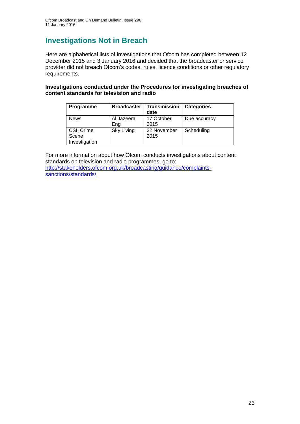# **Investigations Not in Breach**

Here are alphabetical lists of investigations that Ofcom has completed between 12 December 2015 and 3 January 2016 and decided that the broadcaster or service provider did not breach Ofcom's codes, rules, licence conditions or other regulatory requirements.

**Investigations conducted under the Procedures for investigating breaches of content standards for television and radio**

| Programme                            | <b>Broadcaster</b> | <b>Transmission</b><br>date | <b>Categories</b> |
|--------------------------------------|--------------------|-----------------------------|-------------------|
| <b>News</b>                          | Al Jazeera<br>Ena  | 17 October<br>2015          | Due accuracy      |
| CSI: Crime<br>Scene<br>Investigation | Sky Living         | 22 November<br>2015         | Scheduling        |

For more information about how Ofcom conducts investigations about content standards on television and radio programmes, go to: [http://stakeholders.ofcom.org.uk/broadcasting/guidance/complaints](http://stakeholders.ofcom.org.uk/broadcasting/guidance/complaints-sanctions/standards/)[sanctions/standards/.](http://stakeholders.ofcom.org.uk/broadcasting/guidance/complaints-sanctions/standards/)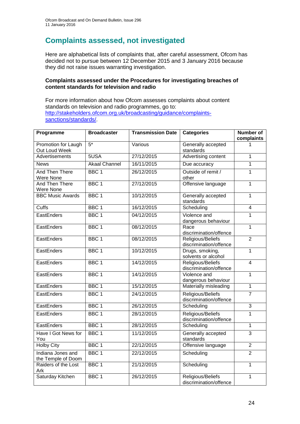# **Complaints assessed, not investigated**

Here are alphabetical lists of complaints that, after careful assessment, Ofcom has decided not to pursue between 12 December 2015 and 3 January 2016 because they did not raise issues warranting investigation.

### **Complaints assessed under the Procedures for investigating breaches of content standards for television and radio**

For more information about how Ofcom assesses complaints about content standards on television and radio programmes, go to: [http://stakeholders.ofcom.org.uk/broadcasting/guidance/complaints](http://stakeholders.ofcom.org.uk/broadcasting/guidance/complaints-sanctions/standards/)[sanctions/standards/.](http://stakeholders.ofcom.org.uk/broadcasting/guidance/complaints-sanctions/standards/)

| Programme                               | <b>Broadcaster</b>   | <b>Transmission Date</b> | <b>Categories</b>                           | <b>Number of</b><br>complaints |
|-----------------------------------------|----------------------|--------------------------|---------------------------------------------|--------------------------------|
| Promotion for Laugh<br>Out Loud Week    | $5*$                 | Various                  | Generally accepted<br>standards             |                                |
| Advertisements                          | 5USA                 | 27/12/2015               | Advertising content                         | 1                              |
| <b>News</b>                             | <b>Akaal Channel</b> | 16/11/2015               | Due accuracy                                | $\mathbf{1}$                   |
| And Then There<br>Were None             | BBC <sub>1</sub>     | 26/12/2015               | Outside of remit /<br>other                 | $\overline{1}$                 |
| <b>And Then There</b><br>Were None      | BBC <sub>1</sub>     | 27/12/2015               | Offensive language                          | $\mathbf{1}$                   |
| <b>BBC Music Awards</b>                 | BBC <sub>1</sub>     | 10/12/2015               | Generally accepted<br>standards             | $\mathbf{1}$                   |
| <b>Cuffs</b>                            | BBC <sub>1</sub>     | 16/12/2015               | Scheduling                                  | $\overline{4}$                 |
| EastEnders                              | BBC <sub>1</sub>     | 04/12/2015               | Violence and<br>dangerous behaviour         | $\mathbf{1}$                   |
| EastEnders                              | BBC <sub>1</sub>     | 08/12/2015               | Race<br>discrimination/offence              | $\overline{1}$                 |
| EastEnders                              | BBC <sub>1</sub>     | 08/12/2015               | Religious/Beliefs<br>discrimination/offence | $\overline{2}$                 |
| EastEnders                              | BBC 1                | 10/12/2015               | Drugs, smoking,<br>solvents or alcohol      | $\mathbf{1}$                   |
| EastEnders                              | BBC <sub>1</sub>     | 14/12/2015               | Religious/Beliefs<br>discrimination/offence | $\overline{4}$                 |
| EastEnders                              | BBC <sub>1</sub>     | 14/12/2015               | Violence and<br>dangerous behaviour         | $\overline{1}$                 |
| EastEnders                              | BBC <sub>1</sub>     | 15/12/2015               | Materially misleading                       | $\mathbf{1}$                   |
| EastEnders                              | BBC <sub>1</sub>     | 24/12/2015               | Religious/Beliefs<br>discrimination/offence | $\overline{7}$                 |
| EastEnders                              | BBC <sub>1</sub>     | 26/12/2015               | Scheduling                                  | $\overline{3}$                 |
| EastEnders                              | BBC <sub>1</sub>     | 28/12/2015               | Religious/Beliefs<br>discrimination/offence | $\overline{1}$                 |
| EastEnders                              | BBC <sub>1</sub>     | 28/12/2015               | Scheduling                                  | $\mathbf{1}$                   |
| Have I Got News for<br>You              | BBC <sub>1</sub>     | 11/12/2015               | Generally accepted<br>standards             | $\overline{3}$                 |
| <b>Holby City</b>                       | BBC <sub>1</sub>     | 22/12/2015               | Offensive language                          | $\overline{2}$                 |
| Indiana Jones and<br>the Temple of Doom | BBC <sub>1</sub>     | 22/12/2015               | Scheduling                                  | $\overline{2}$                 |
| Raiders of the Lost<br>Ark              | BBC <sub>1</sub>     | 21/12/2015               | Scheduling                                  | $\overline{1}$                 |
| Saturday Kitchen                        | BBC <sub>1</sub>     | 26/12/2015               | Religious/Beliefs<br>discrimination/offence | $\mathbf 1$                    |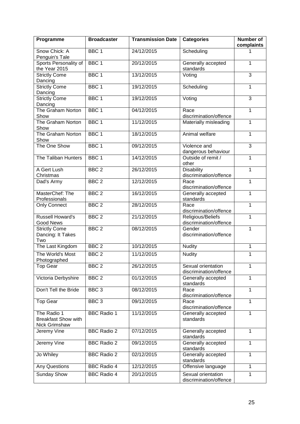| Programme                                                  | <b>Broadcaster</b> | <b>Transmission Date</b> | <b>Categories</b>                            | <b>Number of</b><br>complaints |
|------------------------------------------------------------|--------------------|--------------------------|----------------------------------------------|--------------------------------|
| Snow Chick: A<br>Penguin's Tale                            | BBC <sub>1</sub>   | 24/12/2015               | Scheduling                                   | 1                              |
| Sports Personality of<br>the Year 2015                     | BBC <sub>1</sub>   | 20/12/2015               | Generally accepted<br>standards              | 1                              |
| <b>Strictly Come</b><br>Dancing                            | BBC <sub>1</sub>   | 13/12/2015               | Voting                                       | 3                              |
| <b>Strictly Come</b><br>Dancing                            | BBC <sub>1</sub>   | 19/12/2015               | Scheduling                                   | $\mathbf{1}$                   |
| <b>Strictly Come</b><br>Dancing                            | BBC <sub>1</sub>   | 19/12/2015               | Voting                                       | 3                              |
| The Graham Norton<br>Show                                  | BBC <sub>1</sub>   | 04/12/2015               | Race<br>discrimination/offence               | $\mathbf{1}$                   |
| The Graham Norton<br>Show                                  | BBC <sub>1</sub>   | 11/12/2015               | Materially misleading                        | $\mathbf{1}$                   |
| The Graham Norton<br>Show                                  | BBC <sub>1</sub>   | 18/12/2015               | Animal welfare                               | $\mathbf{1}$                   |
| The One Show                                               | BBC <sub>1</sub>   | 09/12/2015               | Violence and<br>dangerous behaviour          | 3                              |
| The Taliban Hunters                                        | BBC <sub>1</sub>   | 14/12/2015               | Outside of remit /<br>other                  | 1                              |
| A Gert Lush<br>Christmas                                   | BBC <sub>2</sub>   | 26/12/2015               | <b>Disability</b><br>discrimination/offence  | $\mathbf{1}$                   |
| Dad's Army                                                 | BBC <sub>2</sub>   | 12/12/2015               | Race<br>discrimination/offence               | $\mathbf{1}$                   |
| MasterChef: The<br>Professionals                           | BBC <sub>2</sub>   | 16/12/2015               | Generally accepted<br>standards              | 1                              |
| <b>Only Connect</b>                                        | BBC <sub>2</sub>   | 28/12/2015               | Race<br>discrimination/offence               | $\mathbf{1}$                   |
| <b>Russell Howard's</b><br><b>Good News</b>                | BBC <sub>2</sub>   | 21/12/2015               | Religious/Beliefs<br>discrimination/offence  | $\mathbf{1}$                   |
| <b>Strictly Come</b><br>Dancing: It Takes<br>Two           | BBC <sub>2</sub>   | 08/12/2015               | Gender<br>discrimination/offence             | 1                              |
| The Last Kingdom                                           | BBC <sub>2</sub>   | 10/12/2015               | <b>Nudity</b>                                | 1                              |
| The World's Most<br>Photographed                           | BBC <sub>2</sub>   | 11/12/2015               | <b>Nudity</b>                                | $\mathbf{1}$                   |
| <b>Top Gear</b>                                            | BBC <sub>2</sub>   | 26/12/2015               | Sexual orientation<br>discrimination/offence | 1                              |
| Victoria Derbyshire                                        | BBC <sub>2</sub>   | 01/12/2015               | Generally accepted<br>standards              | 1                              |
| Don't Tell the Bride                                       | BBC <sub>3</sub>   | 08/12/2015               | Race<br>discrimination/offence               | $\mathbf{1}$                   |
| <b>Top Gear</b>                                            | BBC <sub>3</sub>   | 09/12/2015               | Race<br>discrimination/offence               | $\mathbf{1}$                   |
| The Radio 1<br><b>Breakfast Show with</b><br>Nick Grimshaw | <b>BBC Radio 1</b> | 11/12/2015               | Generally accepted<br>standards              | 1                              |
| Jeremy Vine                                                | <b>BBC Radio 2</b> | 07/12/2015               | Generally accepted<br>standards              | 1                              |
| Jeremy Vine                                                | <b>BBC Radio 2</b> | 09/12/2015               | Generally accepted<br>standards              | 1                              |
| Jo Whiley                                                  | <b>BBC Radio 2</b> | 02/12/2015               | Generally accepted<br>standards              | $\overline{1}$                 |
| <b>Any Questions</b>                                       | <b>BBC Radio 4</b> | 12/12/2015               | Offensive language                           | $\mathbf{1}$                   |
| <b>Sunday Show</b>                                         | <b>BBC Radio 4</b> | 20/12/2015               | Sexual orientation<br>discrimination/offence | 1                              |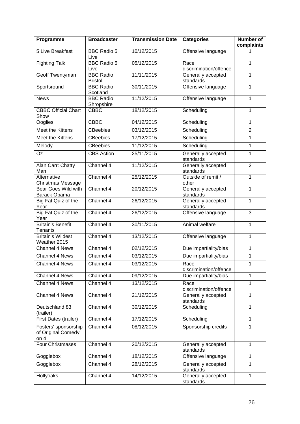| Programme                                            | <b>Broadcaster</b>                 | <b>Transmission Date</b> | <b>Categories</b>               | <b>Number of</b><br>complaints |
|------------------------------------------------------|------------------------------------|--------------------------|---------------------------------|--------------------------------|
| 5 Live Breakfast                                     | <b>BBC Radio 5</b><br>Live         | 10/12/2015               | Offensive language              | 1                              |
| <b>Fighting Talk</b>                                 | <b>BBC Radio 5</b><br>Live         | 05/12/2015               | Race<br>discrimination/offence  | 1                              |
| <b>Geoff Twentyman</b>                               | <b>BBC Radio</b><br><b>Bristol</b> | 11/11/2015               | Generally accepted<br>standards | 1                              |
| Sportsround                                          | <b>BBC</b> Radio<br>Scotland       | 30/11/2015               | Offensive language              | 1                              |
| <b>News</b>                                          | <b>BBC Radio</b><br>Shropshire     | 11/12/2015               | Offensive language              | $\mathbf{1}$                   |
| <b>CBBC Official Chart</b><br>Show                   | <b>CBBC</b>                        | 18/12/2015               | Scheduling                      | 1                              |
| Ooglies                                              | <b>CBBC</b>                        | 04/12/2015               | Scheduling                      | $\mathbf{1}$                   |
| <b>Meet the Kittens</b>                              | <b>CBeebies</b>                    | 03/12/2015               | Scheduling                      | $\overline{2}$                 |
| Meet the Kittens                                     | <b>CBeebies</b>                    | 17/12/2015               | Scheduling                      | 1                              |
| Melody                                               | <b>CBeebies</b>                    | 11/12/2015               | Scheduling                      | $\mathbf{1}$                   |
| Oz                                                   | <b>CBS</b> Action                  | 25/11/2015               | Generally accepted<br>standards | 1                              |
| Alan Carr: Chatty<br>Man                             | Channel 4                          | 11/12/2015               | Generally accepted<br>standards | $\overline{2}$                 |
| Alternative<br>Christmas Message                     | Channel 4                          | 25/12/2015               | Outside of remit /<br>other     | $\mathbf{1}$                   |
| Bear Goes Wild with<br><b>Barack Obama</b>           | Channel 4                          | 20/12/2015               | Generally accepted<br>standards | 1                              |
| Big Fat Quiz of the<br>Year                          | Channel 4                          | 26/12/2015               | Generally accepted<br>standards | 1                              |
| Big Fat Quiz of the<br>Year                          | Channel 4                          | 26/12/2015               | Offensive language              | 3                              |
| <b>Britain's Benefit</b><br>Tenants                  | Channel 4                          | 30/11/2015               | Animal welfare                  | 1                              |
| <b>Britain's Wildest</b><br>Weather 2015             | Channel 4                          | 13/12/2015               | Offensive language              | $\mathbf{1}$                   |
| <b>Channel 4 News</b>                                | Channel 4                          | 02/12/2015               | Due impartiality/bias           | 1                              |
| Channel 4 News                                       | Channel 4                          | 03/12/2015               | Due impartiality/bias           | 1                              |
| Channel 4 News                                       | Channel 4                          | 03/12/2015               | Race<br>discrimination/offence  | 1                              |
| Channel 4 News                                       | Channel 4                          | 09/12/2015               | Due impartiality/bias           | 1                              |
| <b>Channel 4 News</b>                                | Channel 4                          | 13/12/2015               | Race<br>discrimination/offence  | 1                              |
| <b>Channel 4 News</b>                                | Channel 4                          | 21/12/2015               | Generally accepted<br>standards | 1                              |
| Deutschland 83<br>(trailer)                          | Channel 4                          | 30/12/2015               | Scheduling                      | 1                              |
| First Dates (trailer)                                | Channel 4                          | 17/12/2015               | Scheduling                      | 1                              |
| Fosters' sponsorship<br>of Original Comedy<br>on $4$ | Channel 4                          | 08/12/2015               | Sponsorship credits             | 1                              |
| Four Christmases                                     | Channel 4                          | 20/12/2015               | Generally accepted<br>standards | $\mathbf{1}$                   |
| Gogglebox                                            | Channel 4                          | 18/12/2015               | Offensive language              | 1                              |
| Gogglebox                                            | Channel 4                          | 28/12/2015               | Generally accepted<br>standards | 1                              |
| Hollyoaks                                            | Channel 4                          | 14/12/2015               | Generally accepted<br>standards | 1                              |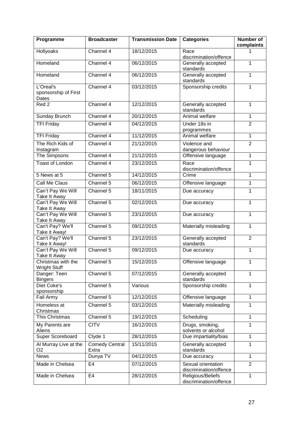| Programme                                  | <b>Broadcaster</b>             | <b>Transmission Date</b> | <b>Categories</b>                            | <b>Number of</b><br>complaints |
|--------------------------------------------|--------------------------------|--------------------------|----------------------------------------------|--------------------------------|
| Hollyoaks                                  | Channel 4                      | 18/12/2015               | Race<br>discrimination/offence               |                                |
| Homeland                                   | Channel 4                      | 06/12/2015               | Generally accepted<br>standards              | 1                              |
| Homeland                                   | Channel 4                      | 06/12/2015               | Generally accepted<br>standards              | 1                              |
| L'Oreal's<br>sponsorship of First<br>Dates | Channel 4                      | 03/12/2015               | Sponsorship credits                          | 1                              |
| Red <sub>2</sub>                           | Channel 4                      | 12/12/2015               | Generally accepted<br>standards              | 1                              |
| Sunday Brunch                              | Channel 4                      | 20/12/2015               | Animal welfare                               | 1                              |
| <b>TFI Friday</b>                          | Channel 4                      | 04/12/2015               | Under 18s in<br>programmes                   | $\overline{2}$                 |
| <b>TFI Friday</b>                          | Channel 4                      | 11/12/2015               | Animal welfare                               | $\mathbf{1}$                   |
| The Rich Kids of<br>Instagram              | Channel 4                      | 21/12/2015               | Violence and<br>dangerous behaviour          | $\overline{2}$                 |
| The Simpsons                               | Channel 4                      | 21/12/2015               | Offensive language                           | 1                              |
| <b>Toast of London</b>                     | Channel 4                      | 23/12/2015               | Race<br>discrimination/offence               | 1                              |
| 5 News at 5                                | Channel 5                      | 14/12/2015               | Crime                                        | 1                              |
| Call Me Claus                              | Channel 5                      | 06/12/2015               | Offensive language                           | 1                              |
| Can't Pay We Will<br>Take It Away          | Channel 5                      | 18/11/2015               | Due accuracy                                 | $\mathbf{1}$                   |
| Can't Pay We Will<br>Take It Away          | Channel 5                      | 02/12/2015               | Due accuracy                                 | 1                              |
| Can't Pay We Will<br>Take It Away          | Channel 5                      | 23/12/2015               | Due accuracy                                 | 1                              |
| Can't Pay? We'll<br>Take it Away!          | Channel 5                      | 09/12/2015               | Materially misleading                        | $\mathbf{1}$                   |
| Can't Pay? We'll<br>Take it Away!          | Channel 5                      | 23/12/2015               | Generally accepted<br>standards              | $\overline{2}$                 |
| Can't Pay We Will<br>Take It Away          | Channel 5                      | 09/12/2015               | Due accuracy                                 | 1                              |
| Christmas with the<br><b>Wright Stuff</b>  | Channel 5                      | 15/12/2015               | Offensive language                           | $\mathbf{1}$                   |
| Danger: Teen<br><b>Bingers</b>             | Channel 5                      | 07/12/2015               | Generally accepted<br>standards              | 1                              |
| Diet Coke's<br>sponsorship                 | Channel 5                      | Various                  | Sponsorship credits                          | 1                              |
| Fail Army                                  | Channel 5                      | 12/12/2015               | Offensive language                           | $\mathbf{1}$                   |
| Homeless at<br>Christmas                   | Channel 5                      | 03/12/2015               | Materially misleading                        | 1                              |
| This Christmas                             | Channel 5                      | 19/12/2015               | Scheduling                                   | 1                              |
| My Parents are<br>Aliens                   | <b>CITV</b>                    | 16/12/2015               | Drugs, smoking,<br>solvents or alcohol       | 1                              |
| Super Scoreboard                           | Clyde 1                        | 28/12/2015               | Due impartiality/bias                        | $\mathbf{1}$                   |
| Al Murray Live at the<br>O <sub>2</sub>    | <b>Comedy Central</b><br>Extra | 15/11/2015               | Generally accepted<br>standards              | $\mathbf{1}$                   |
| <b>News</b>                                | Dunya TV                       | 04/12/2015               | Due accuracy                                 | 1                              |
| Made in Chelsea                            | E <sub>4</sub>                 | 07/12/2015               | Sexual orientation<br>discrimination/offence | $\overline{2}$                 |
| Made in Chelsea                            | E4                             | 28/12/2015               | Religious/Beliefs<br>discrimination/offence  | 1                              |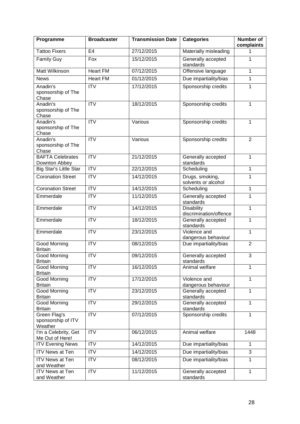| Programme                                     | <b>Broadcaster</b>     | <b>Transmission Date</b> | <b>Categories</b>                           | <b>Number of</b><br>complaints |
|-----------------------------------------------|------------------------|--------------------------|---------------------------------------------|--------------------------------|
| <b>Tattoo Fixers</b>                          | E <sub>4</sub>         | 27/12/2015               | Materially misleading                       | 1                              |
| <b>Family Guy</b>                             | Fox                    | 15/12/2015               | Generally accepted<br>standards             | 1                              |
| Matt Wilkinson                                | <b>Heart FM</b>        | 07/12/2015               | Offensive language                          | 1                              |
| <b>News</b>                                   | <b>Heart FM</b>        | 01/12/2015               | Due impartiality/bias                       | $\mathbf{1}$                   |
| Anadin's<br>sponsorship of The<br>Chase       | $\overline{\text{IV}}$ | 17/12/2015               | Sponsorship credits                         | 1                              |
| Anadin's<br>sponsorship of The<br>Chase       | <b>ITV</b>             | 18/12/2015               | Sponsorship credits                         | 1                              |
| Anadin's<br>sponsorship of The<br>Chase       | $\overline{ITV}$       | Various                  | Sponsorship credits                         | $\overline{1}$                 |
| Anadin's<br>sponsorship of The<br>Chase       | <b>ITV</b>             | Various                  | Sponsorship credits                         | $\overline{2}$                 |
| <b>BAFTA Celebrates</b><br>Downton Abbey      | <b>ITV</b>             | 21/12/2015               | Generally accepted<br>standards             | $\mathbf{1}$                   |
| Big Star's Little Star                        | <b>ITV</b>             | 22/12/2015               | Scheduling                                  | $\mathbf{1}$                   |
| <b>Coronation Street</b>                      | <b>ITV</b>             | 14/12/2015               | Drugs, smoking,<br>solvents or alcohol      | 1                              |
| <b>Coronation Street</b>                      | $\overline{IV}$        | 14/12/2015               | Scheduling                                  | 1                              |
| Emmerdale                                     | <b>ITV</b>             | 11/12/2015               | Generally accepted<br>standards             | 1                              |
| Emmerdale                                     | <b>ITV</b>             | 14/12/2015               | <b>Disability</b><br>discrimination/offence | 1                              |
| Emmerdale                                     | $\overline{ITV}$       | 18/12/2015               | Generally accepted<br>standards             | 1                              |
| Emmerdale                                     | <b>ITV</b>             | 23/12/2015               | Violence and<br>dangerous behaviour         | 1                              |
| <b>Good Morning</b><br><b>Britain</b>         | <b>ITV</b>             | 08/12/2015               | Due impartiality/bias                       | $\overline{2}$                 |
| Good Morning<br><b>Britain</b>                | <b>ITV</b>             | 09/12/2015               | Generally accepted<br>standards             | 3                              |
| Good Morning<br><b>Britain</b>                | <b>ITV</b>             | 16/12/2015               | Animal welfare                              | 1                              |
| Good Morning<br><b>Britain</b>                | $\overline{IV}$        | 17/12/2015               | Violence and<br>dangerous behaviour         | 1                              |
| <b>Good Morning</b><br><b>Britain</b>         | <b>ITV</b>             | 23/12/2015               | Generally accepted<br>standards             | $\mathbf{1}$                   |
| Good Morning<br><b>Britain</b>                | <b>ITV</b>             | 29/12/2015               | Generally accepted<br>standards             | 1                              |
| Green Flag's<br>sponsorship of ITV<br>Weather | <b>ITV</b>             | 07/12/2015               | Sponsorship credits                         | $\mathbf{1}$                   |
| I'm a Celebrity, Get<br>Me Out of Here!       | <b>ITV</b>             | 06/12/2015               | Animal welfare                              | 1448                           |
| <b>ITV Evening News</b>                       | <b>ITV</b>             | 14/12/2015               | Due impartiality/bias                       | 1                              |
| <b>ITV News at Ten</b>                        | <b>ITV</b>             | 14/12/2015               | Due impartiality/bias                       | 3                              |
| <b>ITV News at Ten</b><br>and Weather         | <b>ITV</b>             | 08/12/2015               | Due impartiality/bias                       | 1                              |
| <b>ITV News at Ten</b><br>and Weather         | <b>ITV</b>             | 11/12/2015               | Generally accepted<br>standards             | $\mathbf{1}$                   |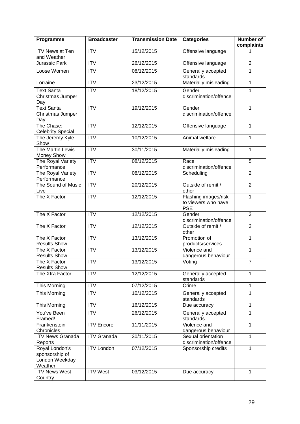| Programme                                                     | <b>Broadcaster</b> | <b>Transmission Date</b> | <b>Categories</b>                                         | Number of<br>complaints |
|---------------------------------------------------------------|--------------------|--------------------------|-----------------------------------------------------------|-------------------------|
| <b>ITV News at Ten</b><br>and Weather                         | <b>ITV</b>         | 15/12/2015               | Offensive language                                        | 1                       |
| Jurassic Park                                                 | <b>ITV</b>         | 26/12/2015               | Offensive language                                        | $\overline{2}$          |
| Loose Women                                                   | $\overline{IV}$    | 08/12/2015               | Generally accepted<br>standards                           | 1                       |
| Lorraine                                                      | <b>ITV</b>         | 23/12/2015               | Materially misleading                                     | $\mathbf{1}$            |
| <b>Text Santa</b><br>Christmas Jumper<br>Day                  | <b>ITV</b>         | 18/12/2015               | Gender<br>discrimination/offence                          | $\mathbf{1}$            |
| <b>Text Santa</b><br>Christmas Jumper<br>Day                  | $\overline{IV}$    | 19/12/2015               | Gender<br>discrimination/offence                          | $\mathbf{1}$            |
| The Chase:<br><b>Celebrity Special</b>                        | <b>ITV</b>         | 12/12/2015               | Offensive language                                        | 1                       |
| The Jeremy Kyle<br>Show                                       | $\overline{IV}$    | 10/12/2015               | Animal welfare                                            | 1                       |
| The Martin Lewis<br><b>Money Show</b>                         | $\overline{IV}$    | 30/11/2015               | Materially misleading                                     | 1                       |
| The Royal Variety<br>Performance                              | $\overline{IV}$    | 08/12/2015               | Race<br>discrimination/offence                            | $\overline{5}$          |
| The Royal Variety<br>Performance                              | $\overline{ITV}$   | 08/12/2015               | Scheduling                                                | $\overline{2}$          |
| The Sound of Music<br>Live                                    | $\overline{IV}$    | 20/12/2015               | Outside of remit /<br>other                               | $\overline{2}$          |
| The X Factor                                                  | <b>ITV</b>         | 12/12/2015               | Flashing images/risk<br>to viewers who have<br><b>PSE</b> | $\mathbf{1}$            |
| The X Factor                                                  | <b>ITV</b>         | 12/12/2015               | Gender<br>discrimination/offence                          | 3                       |
| The X Factor                                                  | <b>ITV</b>         | 12/12/2015               | Outside of remit /<br>other                               | $\overline{2}$          |
| The X Factor<br><b>Results Show</b>                           | <b>ITV</b>         | 13/12/2015               | Promotion of<br>products/services                         | 1                       |
| The X Factor<br><b>Results Show</b>                           | <b>ITV</b>         | 13/12/2015               | Violence and<br>dangerous behaviour                       | 1                       |
| The X Factor<br><b>Results Show</b>                           | ITV                | 13/12/2015               | Voting                                                    | $\overline{7}$          |
| The Xtra Factor                                               | <b>ITV</b>         | 12/12/2015               | Generally accepted<br>standards                           | 1                       |
| This Morning                                                  | <b>ITV</b>         | 07/12/2015               | Crime                                                     | $\mathbf{1}$            |
| This Morning                                                  | <b>ITV</b>         | 10/12/2015               | Generally accepted<br>standards                           | $\mathbf{1}$            |
| This Morning                                                  | <b>ITV</b>         | 16/12/2015               | Due accuracy                                              | $\mathbf{1}$            |
| You've Been<br>Framed!                                        | <b>ITV</b>         | 26/12/2015               | Generally accepted<br>standards                           | 1                       |
| Frankenstein<br>Chronicles                                    | <b>ITV Encore</b>  | 11/11/2015               | Violence and<br>dangerous behaviour                       | 1                       |
| <b>ITV News Granada</b><br>Reports                            | <b>ITV Granada</b> | 30/11/2015               | Sexual orientation<br>discrimination/offence              | $\overline{1}$          |
| Royal London's<br>sponsorship of<br>London Weekday<br>Weather | <b>ITV London</b>  | 07/12/2015               | Sponsorship credits                                       | $\mathbf{1}$            |
| <b>ITV News West</b><br>Country                               | <b>ITV West</b>    | 03/12/2015               | Due accuracy                                              | $\mathbf{1}$            |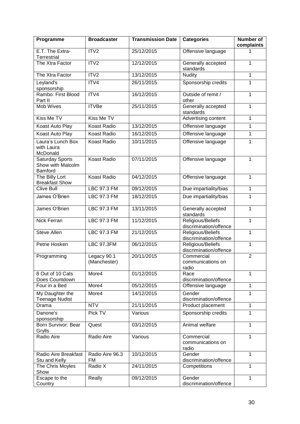| Programme                                       | <b>Broadcaster</b>           | <b>Transmission Date</b> | <b>Categories</b>                           | Number of<br>complaints |
|-------------------------------------------------|------------------------------|--------------------------|---------------------------------------------|-------------------------|
| E.T. The Extra-<br>Terrestrial                  | ITV <sub>2</sub>             | 25/12/2015               | Offensive language                          | 1                       |
| The Xtra Factor                                 | ITV2                         | 12/12/2015               | Generally accepted<br>standards             | 1                       |
| The Xtra Factor                                 | ITV <sub>2</sub>             | 13/12/2015               | <b>Nudity</b>                               | 1                       |
| Leyland's<br>sponsorship                        | ITV4                         | 26/11/2015               | Sponsorship credits                         | 1                       |
| Rambo: First Blood<br>Part II                   | ITV4                         | 16/12/2015               | Outside of remit /<br>other                 | 1                       |
| Mob Wives                                       | <b>ITVBe</b>                 | 25/11/2015               | Generally accepted<br>standards             | 1                       |
| Kiss Me TV                                      | Kiss Me TV                   |                          | Advertising content                         | 1                       |
| <b>Koast Auto Play</b>                          | <b>Koast Radio</b>           | 13/12/2015               | Offensive language                          | 1                       |
| Koast Auto Play                                 | <b>Koast Radio</b>           | 16/12/2015               | Offensive language                          | 1                       |
| Laura's Lunch Box<br>with Laura<br>McDonald     | Koast Radio                  | 10/11/2015               | Offensive language                          | $\mathbf{1}$            |
| Saturday Sports<br>Show with Malcolm<br>Bamford | <b>Koast Radio</b>           | 07/11/2015               | Offensive language                          | $\mathbf{1}$            |
| The Billy Lort<br><b>Breakfast Show</b>         | Koast Radio                  | 04/12/2015               | Offensive language                          | 1                       |
| <b>Clive Bull</b>                               | <b>LBC 97.3 FM</b>           | 09/12/2015               | Due impartiality/bias                       | $\mathbf{1}$            |
| James O'Brien                                   | LBC 97.3 FM                  | 18/12/2015               | Due impartiality/bias                       | $\mathbf{1}$            |
| James O'Brien                                   | <b>LBC 97.3 FM</b>           | 13/11/2015               | Generally accepted<br>standards             | $\overline{1}$          |
| Nick Ferrari                                    | LBC 97.3 FM                  | 11/12/2015               | Religious/Beliefs<br>discrimination/offence | 1                       |
| <b>Steve Allen</b>                              | LBC 97.3 FM                  | 21/12/2015               | Religious/Beliefs<br>discrimination/offence | 1                       |
| Petrie Hosken                                   | <b>LBC 97.3FM</b>            | 06/12/2015               | Religious/Beliefs<br>discrimination/offence | 1                       |
| Programming                                     | Legacy 90.1<br>(Manchester)  | 20/11/2015               | Commercial<br>communications on<br>radio    | $\overline{2}$          |
| 8 Out of 10 Cats<br>Does Countdown              | More4                        | 01/12/2015               | Race<br>discrimination/offence              | 1                       |
| Four in a Bed                                   | More4                        | 05/12/2015               | Offensive language                          | $\mathbf{1}$            |
| My Daughter the<br><b>Teenage Nudist</b>        | More4                        | 14/12/2015               | Gender<br>discrimination/offence            | $\mathbf{1}$            |
| Drama                                           | <b>NTV</b>                   | 21/11/2015               | Product placement                           | $\mathbf{1}$            |
| Danone's<br>sponsorship                         | Pick TV                      | Various                  | Sponsorship credits                         | 1                       |
| Born Survivor: Bear<br>Grylls                   | Quest                        | 03/12/2015               | Animal welfare                              | 1                       |
| Radio Aire                                      | Radio Aire                   | Various                  | Commercial<br>communications on<br>radio    | $\overline{1}$          |
| Radio Aire Breakfast<br>Stu and Kelly           | Radio Aire 96.3<br><b>FM</b> | 10/12/2015               | Gender<br>discrimination/offence            | $\mathbf{1}$            |
| The Chris Moyles<br>Show                        | Radio X                      | 24/11/2015               | Competitions                                | $\mathbf{1}$            |
| Escape to the<br>Country                        | Really                       | 09/12/2015               | Gender<br>discrimination/offence            | $\mathbf{1}$            |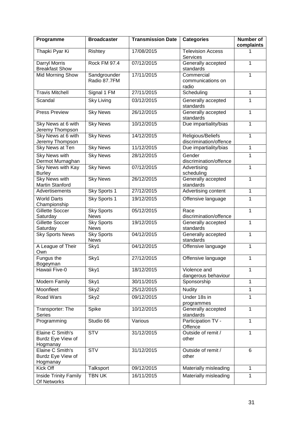| Programme                                         | <b>Broadcaster</b>               | <b>Transmission Date</b> | <b>Categories</b>                           | <b>Number of</b><br>complaints |
|---------------------------------------------------|----------------------------------|--------------------------|---------------------------------------------|--------------------------------|
| Thapki Pyar Ki                                    | Rishtey                          | 17/08/2015               | <b>Television Access</b><br><b>Services</b> | 1                              |
| Darryl Morris<br><b>Breakfast Show</b>            | <b>Rock FM 97.4</b>              | 07/12/2015               | Generally accepted<br>standards             | 1                              |
| <b>Mid Morning Show</b>                           | Sandgrounder<br>Radio 87.7FM     | 17/11/2015               | Commercial<br>communications on<br>radio    | 1                              |
| <b>Travis Mitchell</b>                            | Signal 1 FM                      | 27/11/2015               | Scheduling                                  | 1                              |
| Scandal                                           | <b>Sky Living</b>                | 03/12/2015               | Generally accepted<br>standards             | 1                              |
| <b>Press Preview</b>                              | <b>Sky News</b>                  | 26/12/2015               | Generally accepted<br>standards             | 1                              |
| Sky News at 6 with<br>Jeremy Thompson             | <b>Sky News</b>                  | 10/12/2015               | Due impartiality/bias                       | 1                              |
| Sky News at 6 with<br>Jeremy Thompson             | <b>Sky News</b>                  | 14/12/2015               | Religious/Beliefs<br>discrimination/offence | 1                              |
| Sky News at Ten                                   | <b>Sky News</b>                  | 11/12/2015               | Due impartiality/bias                       | 1                              |
| <b>Sky News with</b><br>Dermot Murnaghan          | <b>Sky News</b>                  | 28/12/2015               | Gender<br>discrimination/offence            | 1                              |
| <b>Sky News with Kay</b><br><b>Burley</b>         | <b>Sky News</b>                  | 07/12/2015               | Advertising<br>scheduling                   | 1                              |
| <b>Sky News with</b><br><b>Martin Stanford</b>    | <b>Sky News</b>                  | 26/12/2015               | Generally accepted<br>standards             | $\mathbf{1}$                   |
| Advertisements                                    | Sky Sports 1                     | 27/12/2015               | Advertising content                         | 1                              |
| <b>World Darts</b><br>Championship                | Sky Sports 1                     | 19/12/2015               | Offensive language                          | 1                              |
| Gillette Soccer<br>Saturday                       | <b>Sky Sports</b><br><b>News</b> | 05/12/2015               | Race<br>discrimination/offence              | 1                              |
| Gillette Soccer<br>Saturday                       | <b>Sky Sports</b><br><b>News</b> | 19/12/2015               | Generally accepted<br>standards             | 1                              |
| <b>Sky Sports News</b>                            | <b>Sky Sports</b><br><b>News</b> | 04/12/2015               | Generally accepted<br>standards             | 1                              |
| A League of Their<br>Own                          | Sky1                             | 04/12/2015               | Offensive language                          | 1                              |
| Fungus the<br>Bogeyman                            | Sky1                             | 27/12/2015               | Offensive language                          | 1                              |
| Hawaii Five-0                                     | Sky1                             | 18/12/2015               | Violence and<br>dangerous behaviour         | 1                              |
| <b>Modern Family</b>                              | Sky1                             | 30/11/2015               | Sponsorship                                 | 1                              |
| Moonfleet                                         | Sky2                             | 25/12/2015               | <b>Nudity</b>                               | 1                              |
| <b>Road Wars</b>                                  | Sky2                             | 09/12/2015               | Under 18s in<br>programmes                  | 1                              |
| Transporter: The<br><b>Series</b>                 | Spike                            | 10/12/2015               | Generally accepted<br>standards             | 1                              |
| Programming                                       | Studio 66                        | Various                  | Participation TV -<br>Offence               | 1                              |
| Elaine C Smith's<br>Burdz Eye View of<br>Hogmanay | $\overline{\text{STV}}$          | 31/12/2015               | Outside of remit /<br>other                 | 1                              |
| Elaine C Smith's<br>Burdz Eye View of<br>Hogmanay | <b>STV</b>                       | 31/12/2015               | Outside of remit /<br>other                 | 6                              |
| Kick Off                                          | Talksport                        | 09/12/2015               | Materially misleading                       | 1                              |
| Inside Trinity Family<br>Of Networks              | <b>TBN UK</b>                    | 16/11/2015               | Materially misleading                       | 1                              |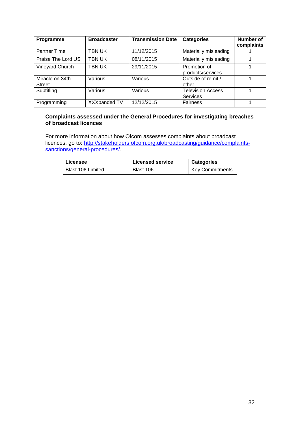| Programme                        | <b>Broadcaster</b> | <b>Transmission Date</b> | <b>Categories</b>                    | Number of<br>complaints |
|----------------------------------|--------------------|--------------------------|--------------------------------------|-------------------------|
| <b>Partner Time</b>              | TBN UK             | 11/12/2015               | Materially misleading                |                         |
| Praise The Lord US               | TBN UK             | 08/11/2015               | Materially misleading                |                         |
| Vineyard Church                  | TBN UK             | 29/11/2015               | Promotion of<br>products/services    |                         |
| Miracle on 34th<br><b>Street</b> | Various            | Various                  | Outside of remit /<br>other          |                         |
| Subtitling                       | Various            | Various                  | <b>Television Access</b><br>Services |                         |
| Programming                      | XXXpanded TV       | 12/12/2015               | <b>Fairness</b>                      |                         |

### **Complaints assessed under the General Procedures for investigating breaches of broadcast licences**

For more information about how Ofcom assesses complaints about broadcast licences, go to: [http://stakeholders.ofcom.org.uk/broadcasting/guidance/complaints](http://stakeholders.ofcom.org.uk/broadcasting/guidance/complaints-sanctions/general-procedures/)[sanctions/general-procedures/.](http://stakeholders.ofcom.org.uk/broadcasting/guidance/complaints-sanctions/general-procedures/)

| Licensee          | <b>Licensed service</b> | <b>Categories</b>      |
|-------------------|-------------------------|------------------------|
| Blast 106 Limited | Blast 106               | <b>Key Commitments</b> |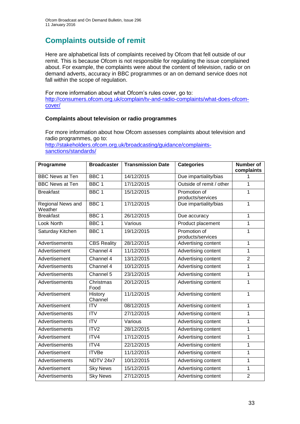# **Complaints outside of remit**

Here are alphabetical lists of complaints received by Ofcom that fell outside of our remit. This is because Ofcom is not responsible for regulating the issue complained about. For example, the complaints were about the content of television, radio or on demand adverts, accuracy in BBC programmes or an on demand service does not fall within the scope of regulation.

For more information about what Ofcom's rules cover, go to: [http://consumers.ofcom.org.uk/complain/tv-and-radio-complaints/what-does-ofcom](http://consumers.ofcom.org.uk/complain/tv-and-radio-complaints/what-does-ofcom-cover/)[cover/](http://consumers.ofcom.org.uk/complain/tv-and-radio-complaints/what-does-ofcom-cover/)

### **Complaints about television or radio programmes**

For more information about how Ofcom assesses complaints about television and radio programmes, go to:

[http://stakeholders.ofcom.org.uk/broadcasting/guidance/complaints](http://stakeholders.ofcom.org.uk/broadcasting/guidance/complaints-sanctions/standards/)[sanctions/standards/](http://stakeholders.ofcom.org.uk/broadcasting/guidance/complaints-sanctions/standards/)

| Programme                    | <b>Broadcaster</b>            | <b>Transmission Date</b> | <b>Categories</b>        | <b>Number of</b> |
|------------------------------|-------------------------------|--------------------------|--------------------------|------------------|
| <b>BBC News at Ten</b>       | BBC <sub>1</sub>              | 14/12/2015               |                          | complaints       |
|                              |                               |                          | Due impartiality/bias    | 1                |
| <b>BBC News at Ten</b>       | BBC <sub>1</sub>              | 17/12/2015               | Outside of remit / other | 1                |
| <b>Breakfast</b>             | BBC <sub>1</sub>              | 15/12/2015               | Promotion of             | 1                |
|                              |                               |                          | products/services        |                  |
| Regional News and<br>Weather | BBC <sub>1</sub>              | 17/12/2015               | Due impartiality/bias    | $\overline{1}$   |
| <b>Breakfast</b>             | BBC <sub>1</sub>              | 26/12/2015               | Due accuracy             | $\overline{1}$   |
| Look North                   | BBC <sub>1</sub>              | Various                  | Product placement        | 1                |
| Saturday Kitchen             | BBC <sub>1</sub>              | 19/12/2015               | Promotion of             | 1                |
|                              |                               |                          | products/services        |                  |
| Advertisements               | <b>CBS Reality</b>            | 28/12/2015               | Advertising content      | 1                |
| Advertisement                | Channel 4                     | 11/12/2015               | Advertising content      | $\overline{1}$   |
| Advertisement                | Channel 4                     | 13/12/2015               | Advertising content      | $\overline{2}$   |
| Advertisements               | Channel 4                     | 10/12/2015               | Advertising content      | $\overline{1}$   |
| Advertisements               | $\overline{\text{Channel}}$ 5 | 23/12/2015               | Advertising content      | $\mathbf{1}$     |
| Advertisements               | Christmas<br>Food             | 20/12/2015               | Advertising content      | $\mathbf{1}$     |
| Advertisement                | History<br>Channel            | 11/12/2015               | Advertising content      | 1                |
| Advertisement                | <b>ITV</b>                    | 08/12/2015               | Advertising content      | 1                |
| Advertisements               | <b>ITV</b>                    | 27/12/2015               | Advertising content      | 1                |
| Advertisements               | $\overline{\text{ITV}}$       | Various                  | Advertising content      | $\mathbf{1}$     |
| Advertisements               | ITV <sub>2</sub>              | 28/12/2015               | Advertising content      | 1                |
| Advertisement                | ITV4                          | 17/12/2015               | Advertising content      | 1                |
| Advertisements               | ITV4                          | 22/12/2015               | Advertising content      | 1                |
| Advertisement                | <b>ITVBe</b>                  | 11/12/2015               | Advertising content      | $\mathbf 1$      |
| <b>Advertisements</b>        | NDTV 24x7                     | 10/12/2015               | Advertising content      | $\overline{1}$   |
| Advertisement                | <b>Sky News</b>               | 15/12/2015               | Advertising content      | 1                |
| Advertisements               | <b>Sky News</b>               | 27/12/2015               | Advertising content      | $\overline{2}$   |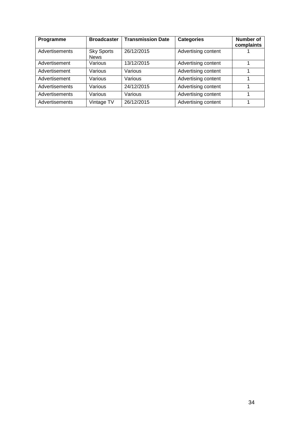| Programme      | <b>Broadcaster</b>               | <b>Transmission Date</b> | <b>Categories</b>   | <b>Number of</b><br>complaints |
|----------------|----------------------------------|--------------------------|---------------------|--------------------------------|
| Advertisements | <b>Sky Sports</b><br><b>News</b> | 26/12/2015               | Advertising content |                                |
| Advertisement  | Various                          | 13/12/2015               | Advertising content |                                |
| Advertisement  | Various                          | Various                  | Advertising content |                                |
| Advertisement  | Various                          | Various                  | Advertising content |                                |
| Advertisements | Various                          | 24/12/2015               | Advertising content |                                |
| Advertisements | Various                          | Various                  | Advertising content |                                |
| Advertisements | Vintage TV                       | 26/12/2015               | Advertising content |                                |